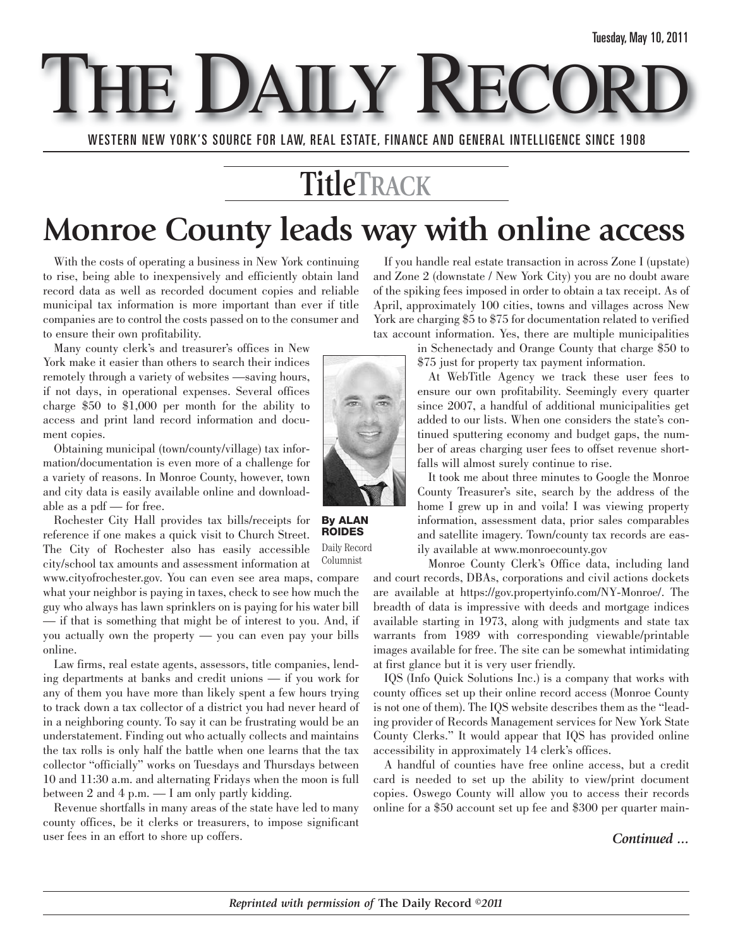E DAILY

WESTERN NEW YORK'S SOURCE FOR LAW, REAL ESTATE, FINANCE AND GENERAL INTELLIGENCE SINCE 1908

## **TitleTRACK**

## **Monroe County leads way with online access**

With the costs of operating a business in New York continuing to rise, being able to inexpensively and efficiently obtain land record data as well as recorded document copies and reliable municipal tax information is more important than ever if title companies are to control the costs passed on to the consumer and to ensure their own profitability.

Many county clerk's and treasurer's offices in New York make it easier than others to search their indices remotely through a variety of websites —saving hours, if not days, in operational expenses. Several offices charge \$50 to \$1,000 per month for the ability to access and print land record information and document copies.

Obtaining municipal (town/county/village) tax information/documentation is even more of a challenge for a variety of reasons. In Monroe County, however, town and city data is easily available online and downloadable as a pdf — for free.

Rochester City Hall provides tax bills/receipts for reference if one makes a quick visit to Church Street. The City of Rochester also has easily accessible city/school tax amounts and assessment information at

www.cityofrochester.gov. You can even see area maps, compare what your neighbor is paying in taxes, check to see how much the guy who always has lawn sprinklers on is paying for his water bill — if that is something that might be of interest to you. And, if you actually own the property — you can even pay your bills online.

Law firms, real estate agents, assessors, title companies, lending departments at banks and credit unions — if you work for any of them you have more than likely spent a few hours trying to track down a tax collector of a district you had never heard of in a neighboring county. To say it can be frustrating would be an understatement. Finding out who actually collects and maintains the tax rolls is only half the battle when one learns that the tax collector "officially" works on Tuesdays and Thursdays between 10 and 11:30 a.m. and alternating Fridays when the moon is full between 2 and 4 p.m. — I am only partly kidding.

Revenue shortfalls in many areas of the state have led to many county offices, be it clerks or treasurers, to impose significant user fees in an effort to shore up coffers.

If you handle real estate transaction in across Zone I (upstate) and Zone 2 (downstate / New York City) you are no doubt aware of the spiking fees imposed in order to obtain a tax receipt. As of April, approximately 100 cities, towns and villages across New York are charging \$5 to \$75 for documentation related to verified tax account information. Yes, there are multiple municipalities

in Schenectady and Orange County that charge \$50 to \$75 just for property tax payment information.

At WebTitle Agency we track these user fees to ensure our own profitability. Seemingly every quarter since 2007, a handful of additional municipalities get added to our lists. When one considers the state's continued sputtering economy and budget gaps, the number of areas charging user fees to offset revenue shortfalls will almost surely continue to rise.

It took me about three minutes to Google the Monroe County Treasurer's site, search by the address of the home I grew up in and voila! I was viewing property information, assessment data, prior sales comparables and satellite imagery. Town/county tax records are easily available at www.monroecounty.gov

Monroe County Clerk's Office data, including land and court records, DBAs, corporations and civil actions dockets are available at https://gov.propertyinfo.com/NY-Monroe/. The breadth of data is impressive with deeds and mortgage indices available starting in 1973, along with judgments and state tax warrants from 1989 with corresponding viewable/printable images available for free. The site can be somewhat intimidating at first glance but it is very user friendly.

IQS (Info Quick Solutions Inc.) is a company that works with county offices set up their online record access (Monroe County is not one of them). The IQS website describes them as the "leading provider of Records Management services for New York State County Clerks." It would appear that IQS has provided online accessibility in approximately 14 clerk's offices.

A handful of counties have free online access, but a credit card is needed to set up the ability to view/print document copies. Oswego County will allow you to access their records online for a \$50 account set up fee and \$300 per quarter main-

#### *Continued ...*



**By ALAN ROIDES** Daily Record

Columnist